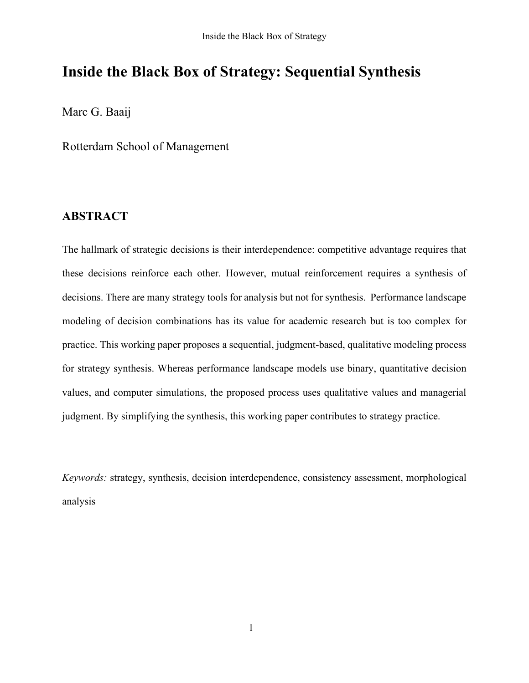## **Inside the Black Box of Strategy: Sequential Synthesis**

Marc G. Baaij

Rotterdam School of Management

### **ABSTRACT**

The hallmark of strategic decisions is their interdependence: competitive advantage requires that these decisions reinforce each other. However, mutual reinforcement requires a synthesis of decisions. There are many strategy tools for analysis but not for synthesis. Performance landscape modeling of decision combinations has its value for academic research but is too complex for practice. This working paper proposes a sequential, judgment-based, qualitative modeling process for strategy synthesis. Whereas performance landscape models use binary, quantitative decision values, and computer simulations, the proposed process uses qualitative values and managerial judgment. By simplifying the synthesis, this working paper contributes to strategy practice.

*Keywords:* strategy, synthesis, decision interdependence, consistency assessment, morphological analysis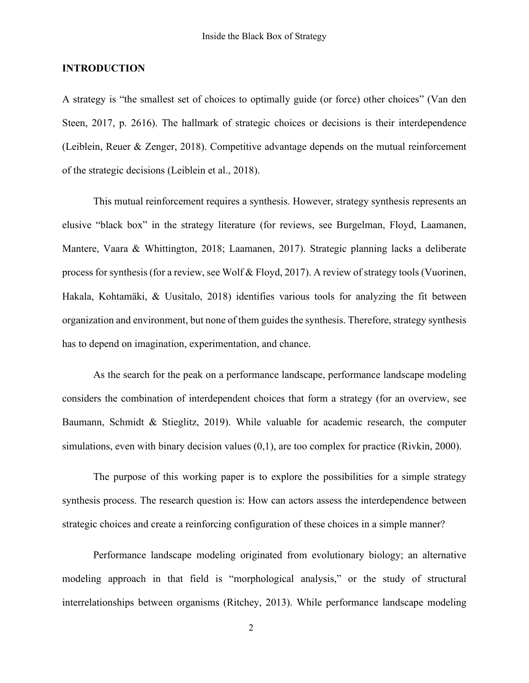#### **INTRODUCTION**

A strategy is "the smallest set of choices to optimally guide (or force) other choices" (Van den Steen, 2017, p. 2616). The hallmark of strategic choices or decisions is their interdependence (Leiblein, Reuer & Zenger, 2018). Competitive advantage depends on the mutual reinforcement of the strategic decisions (Leiblein et al., 2018).

This mutual reinforcement requires a synthesis. However, strategy synthesis represents an elusive "black box" in the strategy literature (for reviews, see Burgelman, Floyd, Laamanen, Mantere, Vaara & Whittington, 2018; Laamanen, 2017). Strategic planning lacks a deliberate process for synthesis (for a review, see Wolf & Floyd, 2017). A review of strategy tools (Vuorinen, Hakala, Kohtamäki, & Uusitalo, 2018) identifies various tools for analyzing the fit between organization and environment, but none of them guides the synthesis. Therefore, strategy synthesis has to depend on imagination, experimentation, and chance.

As the search for the peak on a performance landscape, performance landscape modeling considers the combination of interdependent choices that form a strategy (for an overview, see Baumann, Schmidt & Stieglitz, 2019). While valuable for academic research, the computer simulations, even with binary decision values  $(0,1)$ , are too complex for practice (Rivkin, 2000).

The purpose of this working paper is to explore the possibilities for a simple strategy synthesis process. The research question is: How can actors assess the interdependence between strategic choices and create a reinforcing configuration of these choices in a simple manner?

Performance landscape modeling originated from evolutionary biology; an alternative modeling approach in that field is "morphological analysis," or the study of structural interrelationships between organisms (Ritchey, 2013). While performance landscape modeling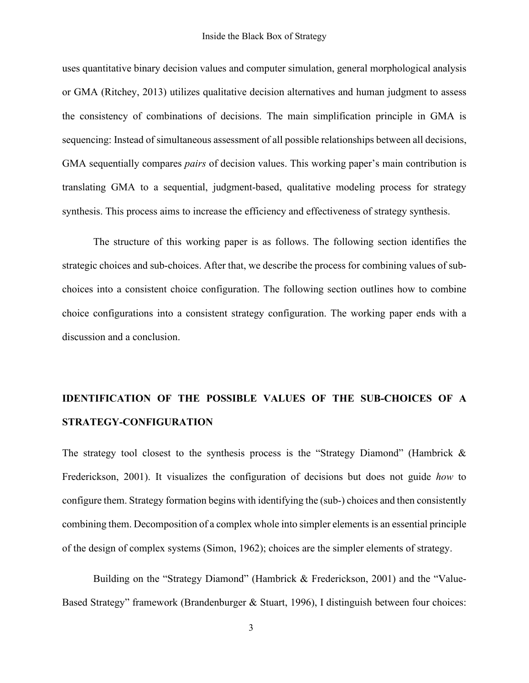uses quantitative binary decision values and computer simulation, general morphological analysis or GMA (Ritchey, 2013) utilizes qualitative decision alternatives and human judgment to assess the consistency of combinations of decisions. The main simplification principle in GMA is sequencing: Instead of simultaneous assessment of all possible relationships between all decisions, GMA sequentially compares *pairs* of decision values. This working paper's main contribution is translating GMA to a sequential, judgment-based, qualitative modeling process for strategy synthesis. This process aims to increase the efficiency and effectiveness of strategy synthesis.

The structure of this working paper is as follows. The following section identifies the strategic choices and sub-choices. After that, we describe the process for combining values of subchoices into a consistent choice configuration. The following section outlines how to combine choice configurations into a consistent strategy configuration. The working paper ends with a discussion and a conclusion.

# **IDENTIFICATION OF THE POSSIBLE VALUES OF THE SUB-CHOICES OF A STRATEGY-CONFIGURATION**

The strategy tool closest to the synthesis process is the "Strategy Diamond" (Hambrick  $\&$ Frederickson, 2001). It visualizes the configuration of decisions but does not guide *how* to configure them. Strategy formation begins with identifying the (sub-) choices and then consistently combining them. Decomposition of a complex whole into simpler elements is an essential principle of the design of complex systems (Simon, 1962); choices are the simpler elements of strategy.

Building on the "Strategy Diamond" (Hambrick & Frederickson, 2001) and the "Value-Based Strategy" framework (Brandenburger & Stuart, 1996), I distinguish between four choices: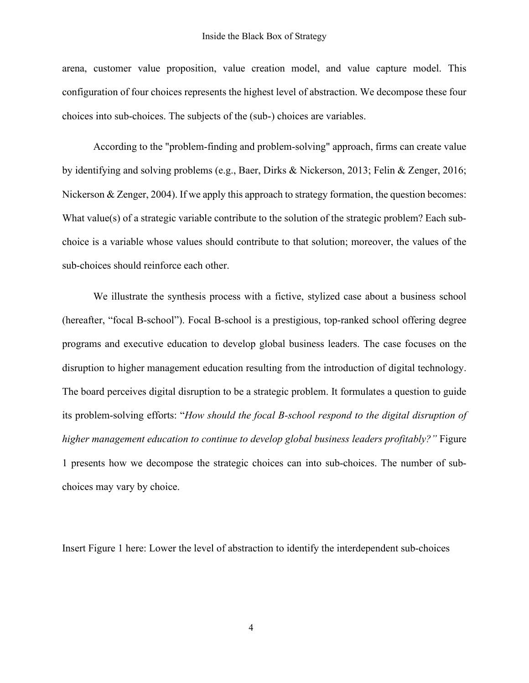arena, customer value proposition, value creation model, and value capture model. This configuration of four choices represents the highest level of abstraction. We decompose these four choices into sub-choices. The subjects of the (sub-) choices are variables.

According to the "problem-finding and problem-solving" approach, firms can create value by identifying and solving problems (e.g., Baer, Dirks & Nickerson, 2013; Felin & Zenger, 2016; Nickerson & Zenger, 2004). If we apply this approach to strategy formation, the question becomes: What value(s) of a strategic variable contribute to the solution of the strategic problem? Each subchoice is a variable whose values should contribute to that solution; moreover, the values of the sub-choices should reinforce each other.

We illustrate the synthesis process with a fictive, stylized case about a business school (hereafter, "focal B-school"). Focal B-school is a prestigious, top-ranked school offering degree programs and executive education to develop global business leaders. The case focuses on the disruption to higher management education resulting from the introduction of digital technology. The board perceives digital disruption to be a strategic problem. It formulates a question to guide its problem-solving efforts: "*How should the focal B-school respond to the digital disruption of higher management education to continue to develop global business leaders profitably?"* Figure 1 presents how we decompose the strategic choices can into sub-choices. The number of subchoices may vary by choice.

Insert Figure 1 here: Lower the level of abstraction to identify the interdependent sub-choices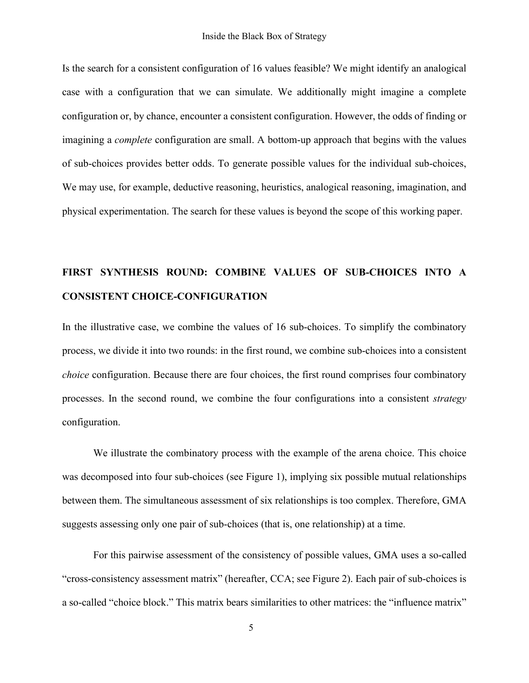Is the search for a consistent configuration of 16 values feasible? We might identify an analogical case with a configuration that we can simulate. We additionally might imagine a complete configuration or, by chance, encounter a consistent configuration. However, the odds of finding or imagining a *complete* configuration are small. A bottom-up approach that begins with the values of sub-choices provides better odds. To generate possible values for the individual sub-choices, We may use, for example, deductive reasoning, heuristics, analogical reasoning, imagination, and physical experimentation. The search for these values is beyond the scope of this working paper.

# **FIRST SYNTHESIS ROUND: COMBINE VALUES OF SUB-CHOICES INTO A CONSISTENT CHOICE-CONFIGURATION**

In the illustrative case, we combine the values of 16 sub-choices. To simplify the combinatory process, we divide it into two rounds: in the first round, we combine sub-choices into a consistent *choice* configuration. Because there are four choices, the first round comprises four combinatory processes. In the second round, we combine the four configurations into a consistent *strategy* configuration.

We illustrate the combinatory process with the example of the arena choice. This choice was decomposed into four sub-choices (see Figure 1), implying six possible mutual relationships between them. The simultaneous assessment of six relationships is too complex. Therefore, GMA suggests assessing only one pair of sub-choices (that is, one relationship) at a time.

For this pairwise assessment of the consistency of possible values, GMA uses a so-called "cross-consistency assessment matrix" (hereafter, CCA; see Figure 2). Each pair of sub-choices is a so-called "choice block." This matrix bears similarities to other matrices: the "influence matrix"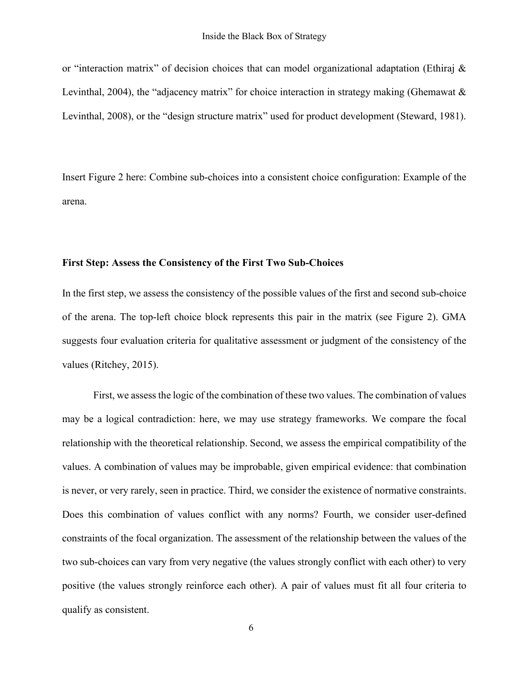or "interaction matrix" of decision choices that can model organizational adaptation (Ethiraj & Levinthal, 2004), the "adjacency matrix" for choice interaction in strategy making (Ghemawat & Levinthal, 2008), or the "design structure matrix" used for product development (Steward, 1981).

Insert Figure 2 here: Combine sub-choices into a consistent choice configuration: Example of the arena.

#### **First Step: Assess the Consistency of the First Two Sub-Choices**

In the first step, we assess the consistency of the possible values of the first and second sub-choice of the arena. The top-left choice block represents this pair in the matrix (see Figure 2). GMA suggests four evaluation criteria for qualitative assessment or judgment of the consistency of the values (Ritchey, 2015).

First, we assessthe logic of the combination of these two values. The combination of values may be a logical contradiction: here, we may use strategy frameworks. We compare the focal relationship with the theoretical relationship. Second, we assess the empirical compatibility of the values. A combination of values may be improbable, given empirical evidence: that combination is never, or very rarely, seen in practice. Third, we consider the existence of normative constraints. Does this combination of values conflict with any norms? Fourth, we consider user-defined constraints of the focal organization. The assessment of the relationship between the values of the two sub-choices can vary from very negative (the values strongly conflict with each other) to very positive (the values strongly reinforce each other). A pair of values must fit all four criteria to qualify as consistent.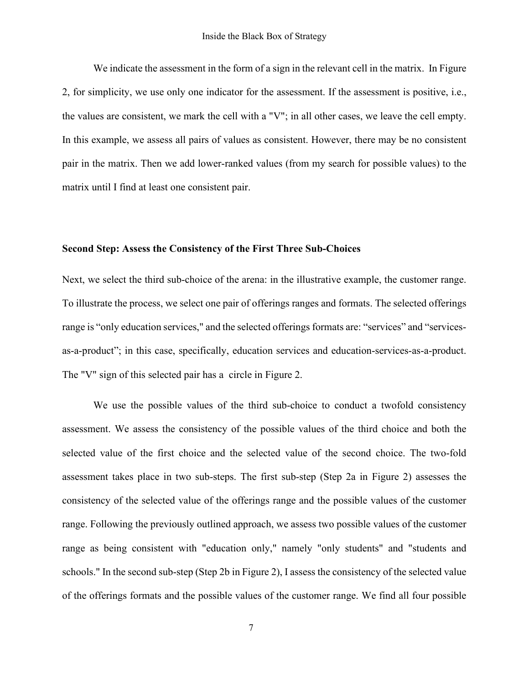We indicate the assessment in the form of a sign in the relevant cell in the matrix. In Figure 2, for simplicity, we use only one indicator for the assessment. If the assessment is positive, i.e., the values are consistent, we mark the cell with a "V"; in all other cases, we leave the cell empty. In this example, we assess all pairs of values as consistent. However, there may be no consistent pair in the matrix. Then we add lower-ranked values (from my search for possible values) to the matrix until I find at least one consistent pair.

#### **Second Step: Assess the Consistency of the First Three Sub-Choices**

Next, we select the third sub-choice of the arena: in the illustrative example, the customer range. To illustrate the process, we select one pair of offerings ranges and formats. The selected offerings range is "only education services," and the selected offerings formats are: "services" and "servicesas-a-product"; in this case, specifically, education services and education-services-as-a-product. The "V" sign of this selected pair has a circle in Figure 2.

We use the possible values of the third sub-choice to conduct a twofold consistency assessment. We assess the consistency of the possible values of the third choice and both the selected value of the first choice and the selected value of the second choice. The two-fold assessment takes place in two sub-steps. The first sub-step (Step 2a in Figure 2) assesses the consistency of the selected value of the offerings range and the possible values of the customer range. Following the previously outlined approach, we assess two possible values of the customer range as being consistent with "education only," namely "only students" and "students and schools." In the second sub-step (Step 2b in Figure 2), I assess the consistency of the selected value of the offerings formats and the possible values of the customer range. We find all four possible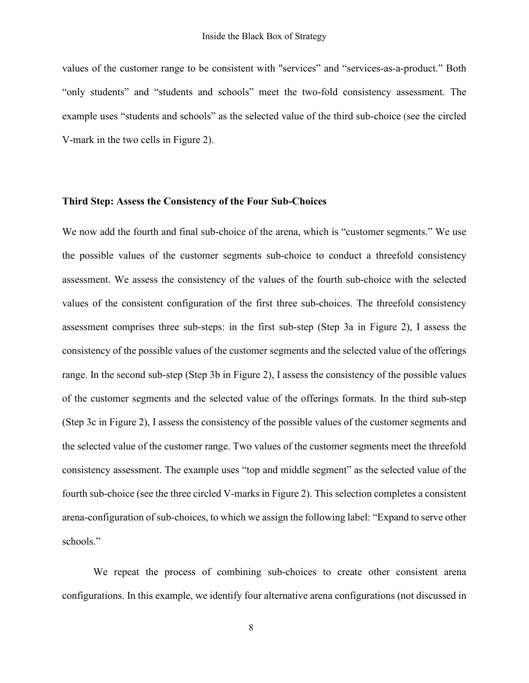values of the customer range to be consistent with "services" and "services-as-a-product." Both "only students" and "students and schools" meet the two-fold consistency assessment. The example uses "students and schools" as the selected value of the third sub-choice (see the circled V-mark in the two cells in Figure 2).

#### **Third Step: Assess the Consistency of the Four Sub-Choices**

We now add the fourth and final sub-choice of the arena, which is "customer segments." We use the possible values of the customer segments sub-choice to conduct a threefold consistency assessment. We assess the consistency of the values of the fourth sub-choice with the selected values of the consistent configuration of the first three sub-choices. The threefold consistency assessment comprises three sub-steps: in the first sub-step (Step 3a in Figure 2), I assess the consistency of the possible values of the customer segments and the selected value of the offerings range. In the second sub-step (Step 3b in Figure 2), I assess the consistency of the possible values of the customer segments and the selected value of the offerings formats. In the third sub-step (Step 3c in Figure 2), I assess the consistency of the possible values of the customer segments and the selected value of the customer range. Two values of the customer segments meet the threefold consistency assessment. The example uses "top and middle segment" as the selected value of the fourth sub-choice (see the three circled V-marks in Figure 2). This selection completes a consistent arena-configuration of sub-choices, to which we assign the following label: "Expand to serve other schools."

We repeat the process of combining sub-choices to create other consistent arena configurations. In this example, we identify four alternative arena configurations (not discussed in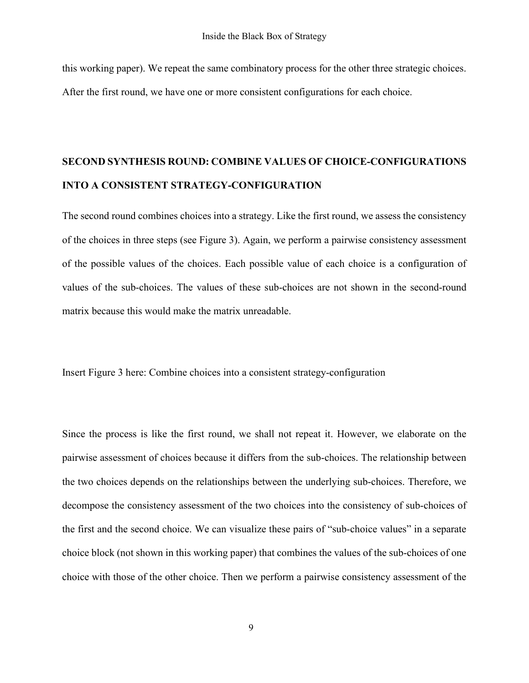this working paper). We repeat the same combinatory process for the other three strategic choices. After the first round, we have one or more consistent configurations for each choice.

# **SECOND SYNTHESIS ROUND: COMBINE VALUES OF CHOICE-CONFIGURATIONS INTO A CONSISTENT STRATEGY-CONFIGURATION**

The second round combines choices into a strategy. Like the first round, we assess the consistency of the choices in three steps (see Figure 3). Again, we perform a pairwise consistency assessment of the possible values of the choices. Each possible value of each choice is a configuration of values of the sub-choices. The values of these sub-choices are not shown in the second-round matrix because this would make the matrix unreadable.

Insert Figure 3 here: Combine choices into a consistent strategy-configuration

Since the process is like the first round, we shall not repeat it. However, we elaborate on the pairwise assessment of choices because it differs from the sub-choices. The relationship between the two choices depends on the relationships between the underlying sub-choices. Therefore, we decompose the consistency assessment of the two choices into the consistency of sub-choices of the first and the second choice. We can visualize these pairs of "sub-choice values" in a separate choice block (not shown in this working paper) that combines the values of the sub-choices of one choice with those of the other choice. Then we perform a pairwise consistency assessment of the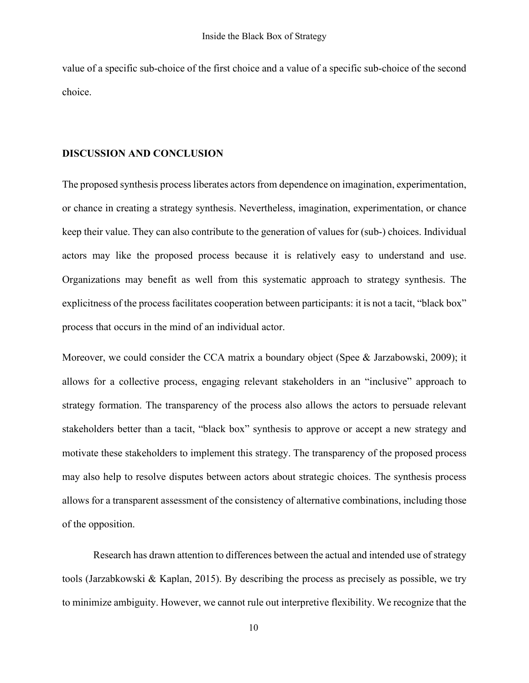value of a specific sub-choice of the first choice and a value of a specific sub-choice of the second choice.

#### **DISCUSSION AND CONCLUSION**

The proposed synthesis process liberates actors from dependence on imagination, experimentation, or chance in creating a strategy synthesis. Nevertheless, imagination, experimentation, or chance keep their value. They can also contribute to the generation of values for (sub-) choices. Individual actors may like the proposed process because it is relatively easy to understand and use. Organizations may benefit as well from this systematic approach to strategy synthesis. The explicitness of the process facilitates cooperation between participants: it is not a tacit, "black box" process that occurs in the mind of an individual actor.

Moreover, we could consider the CCA matrix a boundary object (Spee & Jarzabowski, 2009); it allows for a collective process, engaging relevant stakeholders in an "inclusive" approach to strategy formation. The transparency of the process also allows the actors to persuade relevant stakeholders better than a tacit, "black box" synthesis to approve or accept a new strategy and motivate these stakeholders to implement this strategy. The transparency of the proposed process may also help to resolve disputes between actors about strategic choices. The synthesis process allows for a transparent assessment of the consistency of alternative combinations, including those of the opposition.

Research has drawn attention to differences between the actual and intended use of strategy tools (Jarzabkowski & Kaplan, 2015). By describing the process as precisely as possible, we try to minimize ambiguity. However, we cannot rule out interpretive flexibility. We recognize that the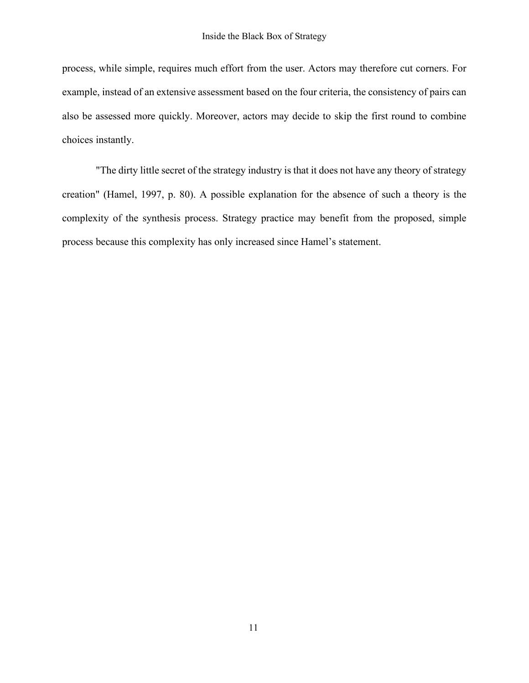process, while simple, requires much effort from the user. Actors may therefore cut corners. For example, instead of an extensive assessment based on the four criteria, the consistency of pairs can also be assessed more quickly. Moreover, actors may decide to skip the first round to combine choices instantly.

"The dirty little secret of the strategy industry is that it does not have any theory of strategy creation" (Hamel, 1997, p. 80). A possible explanation for the absence of such a theory is the complexity of the synthesis process. Strategy practice may benefit from the proposed, simple process because this complexity has only increased since Hamel's statement.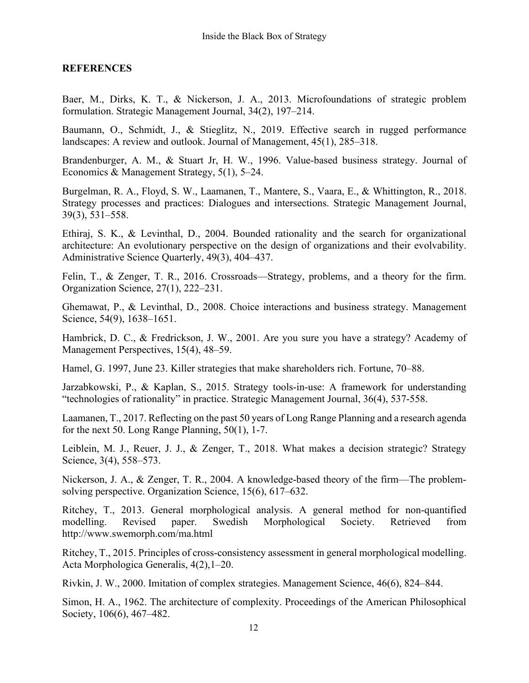### **REFERENCES**

Baer, M., Dirks, K. T., & Nickerson, J. A., 2013. Microfoundations of strategic problem formulation. Strategic Management Journal, 34(2), 197–214.

Baumann, O., Schmidt, J., & Stieglitz, N., 2019. Effective search in rugged performance landscapes: A review and outlook. Journal of Management, 45(1), 285–318.

Brandenburger, A. M., & Stuart Jr, H. W., 1996. Value-based business strategy. Journal of Economics & Management Strategy, 5(1), 5–24.

Burgelman, R. A., Floyd, S. W., Laamanen, T., Mantere, S., Vaara, E., & Whittington, R., 2018. Strategy processes and practices: Dialogues and intersections. Strategic Management Journal, 39(3), 531–558.

Ethiraj, S. K., & Levinthal, D., 2004. Bounded rationality and the search for organizational architecture: An evolutionary perspective on the design of organizations and their evolvability. Administrative Science Quarterly, 49(3), 404–437.

Felin, T., & Zenger, T. R., 2016. Crossroads—Strategy, problems, and a theory for the firm. Organization Science, 27(1), 222–231.

Ghemawat, P., & Levinthal, D., 2008. Choice interactions and business strategy. Management Science, 54(9), 1638–1651.

Hambrick, D. C., & Fredrickson, J. W., 2001. Are you sure you have a strategy? Academy of Management Perspectives, 15(4), 48–59.

Hamel, G. 1997, June 23. Killer strategies that make shareholders rich. Fortune, 70–88.

Jarzabkowski, P., & Kaplan, S., 2015. Strategy tools‐in‐use: A framework for understanding "technologies of rationality" in practice. Strategic Management Journal, 36(4), 537-558.

Laamanen, T., 2017. Reflecting on the past 50 years of Long Range Planning and a research agenda for the next 50. Long Range Planning, 50(1), 1-7.

Leiblein, M. J., Reuer, J. J., & Zenger, T., 2018. What makes a decision strategic? Strategy Science, 3(4), 558–573.

Nickerson, J. A., & Zenger, T. R., 2004. A knowledge-based theory of the firm—The problemsolving perspective. Organization Science, 15(6), 617–632.

Ritchey, T., 2013. General morphological analysis. A general method for non-quantified modelling. Revised paper. Swedish Morphological Society. Retrieved from http://www.swemorph.com/ma.html

Ritchey, T., 2015. Principles of cross-consistency assessment in general morphological modelling. Acta Morphologica Generalis, 4(2),1–20.

Rivkin, J. W., 2000. Imitation of complex strategies. Management Science, 46(6), 824–844.

Simon, H. A., 1962. The architecture of complexity. Proceedings of the American Philosophical Society, 106(6), 467–482.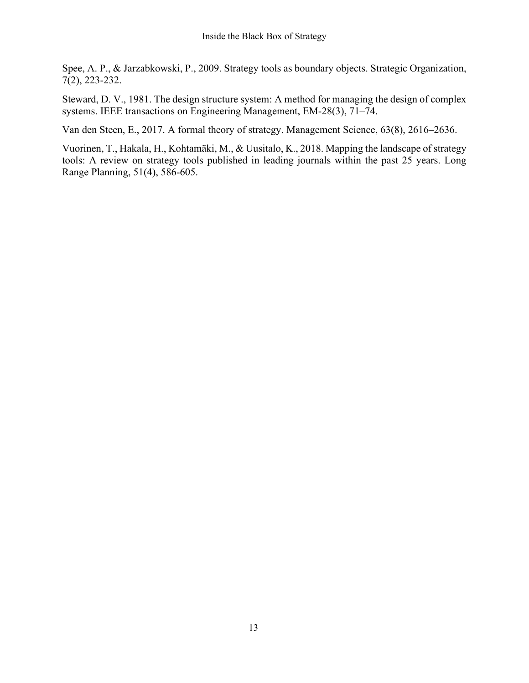Spee, A. P., & Jarzabkowski, P., 2009. Strategy tools as boundary objects. Strategic Organization, 7(2), 223-232.

Steward, D. V., 1981. The design structure system: A method for managing the design of complex systems. IEEE transactions on Engineering Management, EM-28(3), 71–74.

Van den Steen, E., 2017. A formal theory of strategy. Management Science, 63(8), 2616–2636.

Vuorinen, T., Hakala, H., Kohtamäki, M., & Uusitalo, K., 2018. Mapping the landscape of strategy tools: A review on strategy tools published in leading journals within the past 25 years. Long Range Planning, 51(4), 586-605.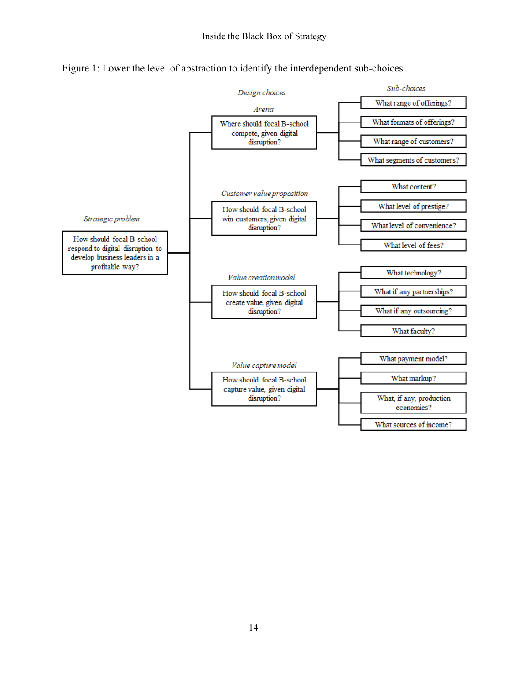

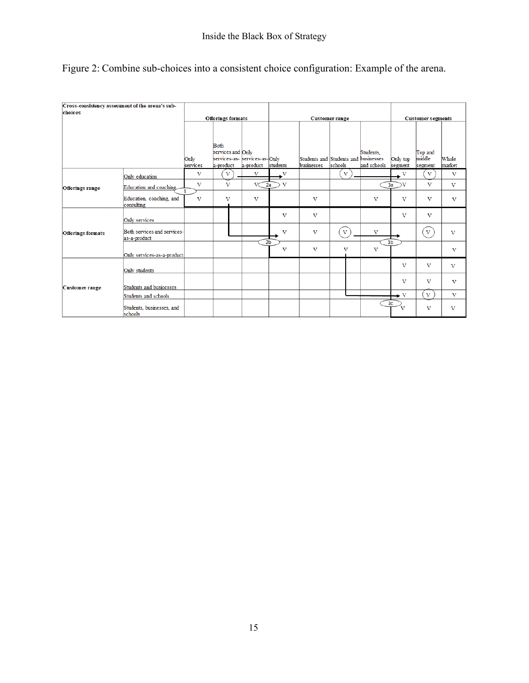| Cross-consistency assessment of the arena's sub- |                                             |                              |                                                                                 |                         |                                           |                                                    |                         |                          |                         |                              |                         |
|--------------------------------------------------|---------------------------------------------|------------------------------|---------------------------------------------------------------------------------|-------------------------|-------------------------------------------|----------------------------------------------------|-------------------------|--------------------------|-------------------------|------------------------------|-------------------------|
| choices                                          |                                             |                              |                                                                                 |                         |                                           |                                                    |                         |                          |                         |                              |                         |
|                                                  |                                             | <b>Offerings formats</b>     |                                                                                 |                         |                                           | <b>Customer segments</b>                           |                         |                          |                         |                              |                         |
|                                                  |                                             | Only<br>services             | <b>B</b> oth<br>services and Only<br>services-as- services-as-Only<br>a-product | a-product               | students                                  | Students and Students and businesses<br>businesses | schools                 | Students.<br>and schools | Only top<br>segment     | Top and<br>middle<br>segment | Whole<br>market         |
|                                                  | Only education                              | v                            | V                                                                               | $\mathbf{v}$            | v                                         |                                                    | $\mathbf{V}$            |                          | v                       | $\mathbf{V}$                 | V                       |
| <b>Offerings range</b>                           | Education and coaching                      | $\mathbf{V}$<br>$\mathbf{1}$ | $\overline{\mathbf{V}}$                                                         |                         | $\mathbf{v}$<br>2a                        |                                                    |                         |                          | 3a<br>v                 | $\overline{\mathbf{V}}$      | $\mathbf{V}$            |
|                                                  | Education, coaching, and<br>consulting      | $\mathbf{v}$                 | v                                                                               | $\overline{\mathbf{V}}$ |                                           | v                                                  |                         | $\overline{\mathbf{V}}$  | v                       | $\overline{\mathbf{V}}$      | v                       |
|                                                  | Only services                               |                              |                                                                                 |                         | $\overline{\mathbf{V}}$                   | $\overline{\mathbf{V}}$                            |                         |                          | $\overline{\mathbf{V}}$ | V                            |                         |
| <b>Offerings formats</b>                         | Both services and services-<br>as-a-product |                              |                                                                                 |                         | $\overline{\mathbf{V}}$<br>2 <sub>b</sub> | $\mathbf{V}$                                       | $\overline{\mathbf{V}}$ | $\overline{\mathbf{V}}$  | 3 <sub>b</sub>          | $\mathbf{v}$                 | $\overline{\mathbf{V}}$ |
|                                                  | Only services-as-a-product                  |                              |                                                                                 |                         | $\overline{\mathbf{V}}$                   | v                                                  | v                       | $\overline{\mathbf{V}}$  |                         |                              | V                       |
|                                                  | Only students                               |                              |                                                                                 |                         |                                           |                                                    |                         |                          | v                       | $\bf{V}$                     | $\mathbf{v}$            |
| <b>Customer range</b>                            | Students and businesses                     |                              |                                                                                 |                         |                                           |                                                    |                         |                          | v                       | $\bf{V}$                     | $\overline{\mathbf{V}}$ |
|                                                  | Students and schools                        |                              |                                                                                 |                         |                                           |                                                    |                         |                          | v                       | $\bf{V}$                     | v                       |
|                                                  | Students, businesses, and<br>schools        |                              |                                                                                 |                         |                                           |                                                    |                         |                          | 3 <sub>c</sub><br>v     | v                            | v                       |

|  |  |  | Figure 2: Combine sub-choices into a consistent choice configuration: Example of the arena. |  |
|--|--|--|---------------------------------------------------------------------------------------------|--|
|  |  |  |                                                                                             |  |